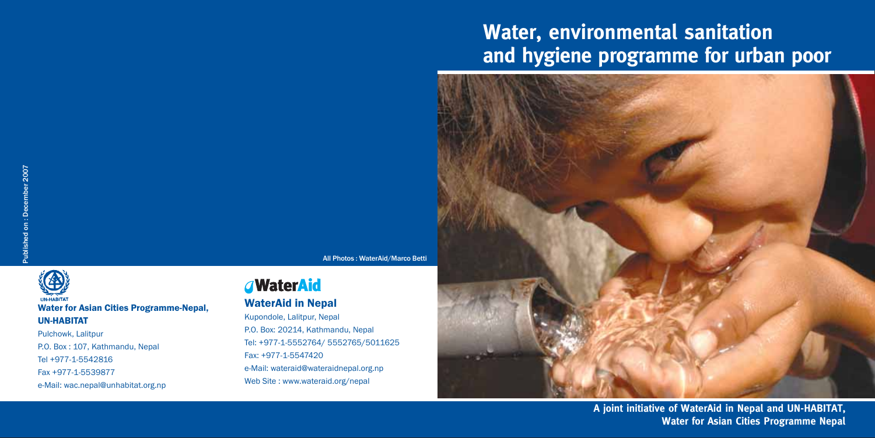# **Water, environmental sanitation** and hygiene programme for urban poor



All Photos: WaterAid/Marco Betti



Pulchowk, Lalitpur P.O. Box: 107, Kathmandu, Nepal Tel +977-1-5542816 Fax +977-1-5539877 e-Mail: wac.nepal@unhabitat.org.np

### *<u>AWaterAid</u>*

### **WaterAid in Nepal**

Kupondole, Lalitpur, Nepal P.O. Box: 20214, Kathmandu, Nepal Tel: +977-1-5552764/ 5552765/5011625 Fax: +977-1-5547420 e-Mail: wateraid@wateraidnepal.org.np Web Site: www.wateraid.org/nepal

A joint initiative of WaterAid in Nepal and UN-HABITAT, **Water for Asian Cities Programme Nepal**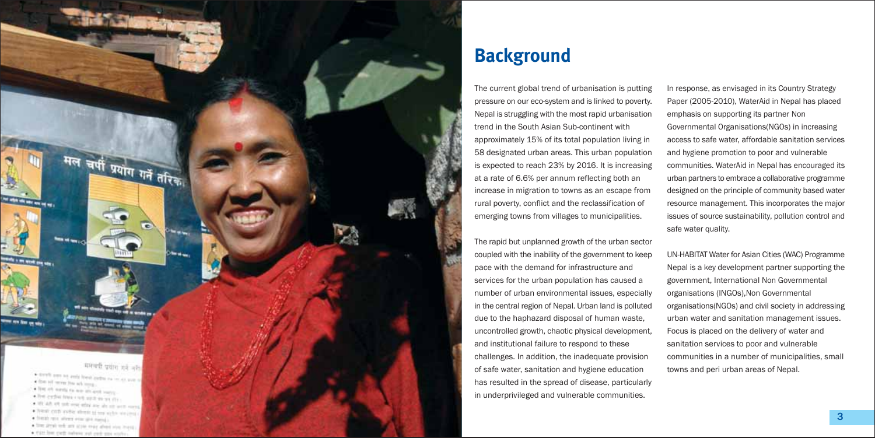

### **Background**

The current global trend of urbanisation is putting pressure on our eco-system and is linked to poverty. Nepal is struggling with the most rapid urbanisation trend in the South Asian Sub-continent with approximately 15% of its total population living in 58 designated urban areas. This urban population is expected to reach 23% by 2016. It is increasing at a rate of 6.6% per annum reflecting both an increase in migration to towns as an escape from rural poverty, conflict and the reclassification of emerging towns from villages to municipalities.

The rapid but unplanned growth of the urban sector coupled with the inability of the government to keep pace with the demand for infrastructure and services for the urban population has caused a number of urban environmental issues, especially in the central region of Nepal. Urban land is polluted due to the haphazard disposal of human waste. uncontrolled growth, chaotic physical development. and institutional failure to respond to these challenges. In addition, the inadequate provision of safe water, sanitation and hygiene education has resulted in the spread of disease, particularly in underprivileged and vulnerable communities.

In response, as envisaged in its Country Strategy Paper (2005-2010), WaterAid in Nepal has placed emphasis on supporting its partner Non Governmental Organisations (NGOs) in increasing access to safe water, affordable sanitation services and hygiene promotion to poor and vulnerable communities. WaterAid in Nepal has encouraged its urban partners to embrace a collaborative programme designed on the principle of community based water resource management. This incorporates the major issues of source sustainability, pollution control and safe water quality.

UN-HABITAT Water for Asian Cities (WAC) Programme Nepal is a key development partner supporting the government, International Non Governmental organisations (INGOs), Non Governmental organisations(NGOs) and civil society in addressing urban water and sanitation management issues. Focus is placed on the delivery of water and sanitation services to poor and vulnerable communities in a number of municipalities, small towns and peri urban areas of Nepal.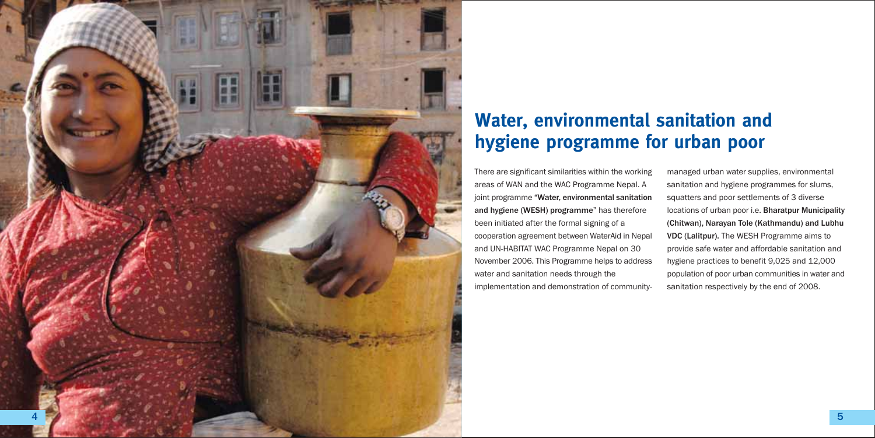

## Water, environmental sanitation and hygiene programme for urban poor

There are significant similarities within the working areas of WAN and the WAC Programme Nepal. A joint programme "Water, environmental sanitation and hygiene (WESH) programme" has therefore been initiated after the formal signing of a cooperation agreement between WaterAid in Nepal and UN-HABITAT WAC Programme Nepal on 30 November 2006. This Programme helps to address water and sanitation needs through the implementation and demonstration of community-

managed urban water supplies, environmental sanitation and hygiene programmes for slums, squatters and poor settlements of 3 diverse locations of urban poor i.e. Bharatpur Municipality (Chitwan), Narayan Tole (Kathmandu) and Lubhu VDC (Lalitpur). The WESH Programme aims to provide safe water and affordable sanitation and hygiene practices to benefit 9,025 and 12,000 population of poor urban communities in water and sanitation respectively by the end of 2008.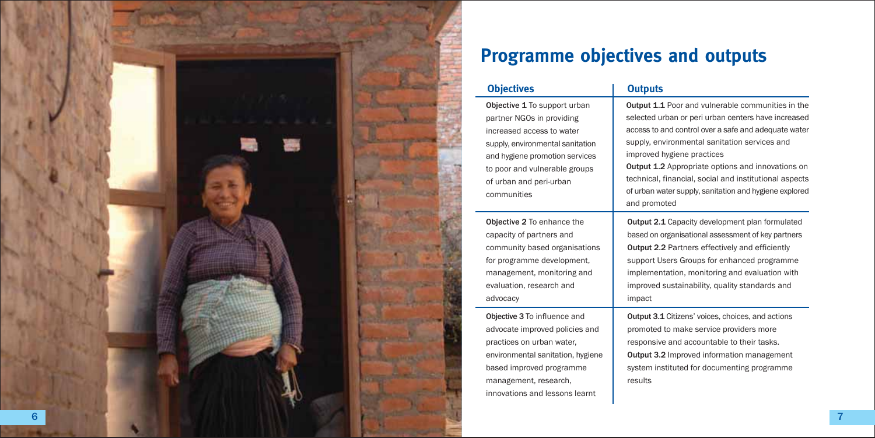

## **Programme objectives and outputs**

#### **Objectives**

Objective 1 To support urban partner NGOs in providing increased access to water supply, environmental sanitation and hygiene promotion services to poor and vulnerable groups of urban and peri-urban communities

Objective 2 To enhance the capacity of partners and community based organisations for programme development, management, monitoring and evaluation, research and

Obiective 3 To influence and advocate improved policies and practices on urban water. environmental sanitation, hygiene based improved programme management, research, innovations and lessons learnt

advocacy

#### **Outputs**

Output 1.1 Poor and vulnerable communities in the selected urban or peri urban centers have increased access to and control over a safe and adequate water supply, environmental sanitation services and improved hygiene practices

Output 1.2 Appropriate options and innovations on technical, financial, social and institutional aspects of urban water supply, sanitation and hygiene explored and promoted

Output 2.1 Capacity development plan formulated based on organisational assessment of key partners Output 2.2 Partners effectively and efficiently support Users Groups for enhanced programme implementation, monitoring and evaluation with improved sustainability, quality standards and impact

Output 3.1 Citizens' voices, choices, and actions promoted to make service providers more responsive and accountable to their tasks. Output 3.2 Improved information management system instituted for documenting programme results

7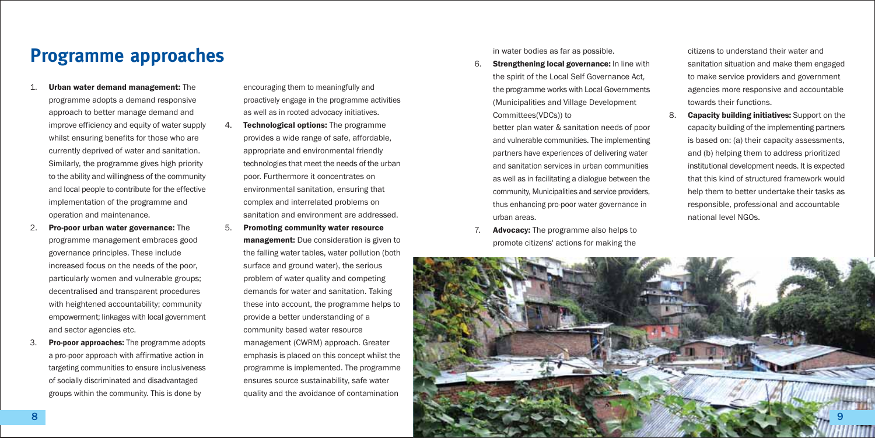### **Programme approaches**

- Urban water demand management: The programme adopts a demand responsive approach to better manage demand and improve efficiency and equity of water supply whilst ensuring benefits for those who are currently deprived of water and sanitation. Similarly, the programme gives high priority to the ability and willingness of the community and local people to contribute for the effective implementation of the programme and operation and maintenance.
- Pro-poor urban water governance: The 2. programme management embraces good governance principles. These include increased focus on the needs of the poor. particularly women and vulnerable groups; decentralised and transparent procedures with heightened accountability; community empowerment; linkages with local government and sector agencies etc.
- Pro-poor approaches: The programme adopts 3. a pro-poor approach with affirmative action in targeting communities to ensure inclusiveness of socially discriminated and disadvantaged groups within the community. This is done by

encouraging them to meaningfully and proactively engage in the programme activities as well as in rooted advocacy initiatives.

- Technological options: The programme provides a wide range of safe, affordable. appropriate and environmental friendly technologies that meet the needs of the urban poor. Furthermore it concentrates on environmental sanitation, ensuring that complex and interrelated problems on sanitation and environment are addressed
- 5 Promoting community water resource management: Due consideration is given to the falling water tables, water pollution (both surface and ground water), the serious problem of water quality and competing demands for water and sanitation. Taking these into account, the programme helps to provide a better understanding of a community based water resource management (CWRM) approach. Greater emphasis is placed on this concept whilst the programme is implemented. The programme ensures source sustainability, safe water quality and the avoidance of contamination

in water bodies as far as possible.

Strengthening local governance: In line with 6. the spirit of the Local Self Governance Act, the programme works with Local Governments (Municipalities and Village Development Committees(VDCs)) to

better plan water & sanitation needs of poor and vulnerable communities. The implementing partners have experiences of delivering water and sanitation services in urban communities as well as in facilitating a dialogue between the community. Municipalities and service providers. thus enhancing pro-poor water governance in urhan areas

**Advocacy:** The programme also helps to promote citizens' actions for making the citizens to understand their water and sanitation situation and make them engaged to make service providers and government agencies more responsive and accountable towards their functions.

 $\mathsf{R}$ **Capacity building initiatives:** Support on the capacity building of the implementing partners is based on: (a) their capacity assessments, and (b) helping them to address prioritized institutional development needs. It is expected that this kind of structured framework would help them to better undertake their tasks as responsible, professional and accountable national level NGOs

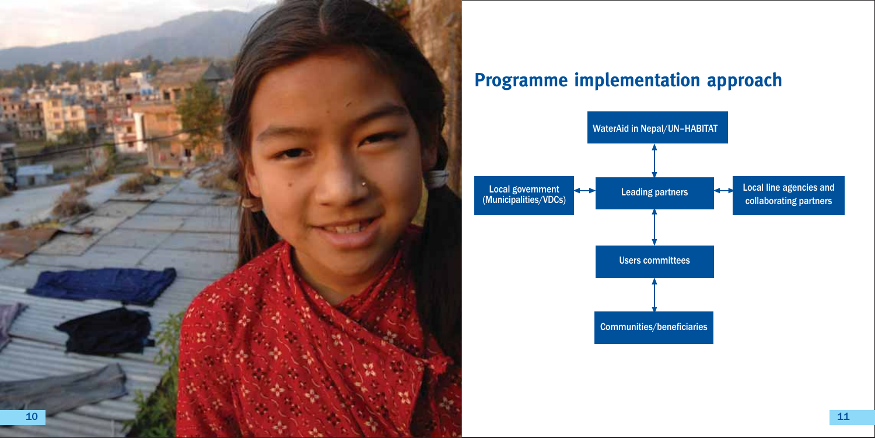

## **Programme implementation approach**

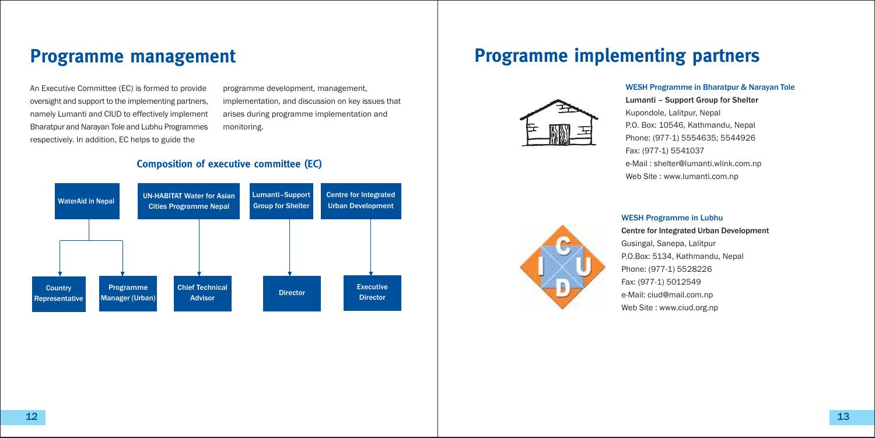### **Programme management**

An Executive Committee (EC) is formed to provide oversight and support to the implementing partners. namely Lumanti and CIUD to effectively implement Bharatpur and Narayan Tole and Lubhu Programmes respectively. In addition, EC helps to guide the

programme development, management, implementation, and discussion on key issues that arises during programme implementation and monitoring.

### **Composition of executive committee (EC)**



## **Programme implementing partners**



#### **WESH Programme in Bharatpur & Narayan Tole**

Lumanti - Support Group for Shelter Kupondole, Lalitpur, Nepal P.O. Box: 10546. Kathmandu, Nepal Phone: (977-1) 5554635: 5544926 Fax: (977-1) 5541037 e-Mail: shelter@lumanti.wlink.com.np Web Site: www.lumanti.com.np



#### **WESH Programme in Lubhu**

**Centre for Integrated Urban Development** Gusingal, Sanepa, Lalitpur P.O.Box: 5134, Kathmandu, Nepal Phone: (977-1) 5528226 Fax: (977-1) 5012549 e-Mail: ciud@mail.com.np Web Site: www.ciud.org.np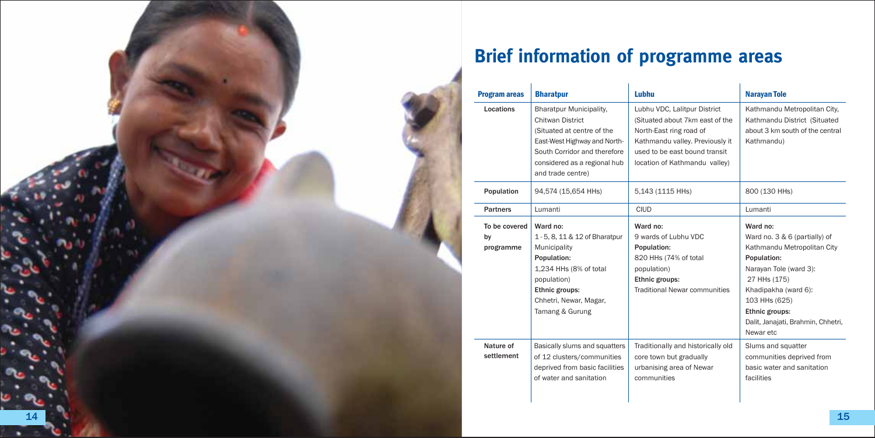

| <b>Program areas</b>             | <b>Bharatpur</b>                                                                                                                                                                                             | Lubhu                                                                                                                                                                                           | <b>Narayan Tole</b>                                                                                                                                                                                                                             |
|----------------------------------|--------------------------------------------------------------------------------------------------------------------------------------------------------------------------------------------------------------|-------------------------------------------------------------------------------------------------------------------------------------------------------------------------------------------------|-------------------------------------------------------------------------------------------------------------------------------------------------------------------------------------------------------------------------------------------------|
| Locations                        | <b>Bharatpur Municipality,</b><br><b>Chitwan District</b><br>(Situated at centre of the<br>East-West Highway and North-<br>South Corridor and therefore<br>considered as a regional hub<br>and trade centre) | Lubhu VDC, Lalitpur District<br>(Situated about 7km east of the<br>North-East ring road of<br>Kathmandu valley. Previously it<br>used to be east bound transit<br>location of Kathmandu valley) | Kathmandu Metropolitan City,<br>Kathmandu District (Situated<br>about 3 km south of the central<br>Kathmandu)                                                                                                                                   |
| Population                       | 94,574 (15,654 HHs)                                                                                                                                                                                          | 5,143 (1115 HHs)                                                                                                                                                                                | 800 (130 HHs)                                                                                                                                                                                                                                   |
| <b>Partners</b>                  | Lumanti                                                                                                                                                                                                      | <b>CIUD</b>                                                                                                                                                                                     | Lumanti                                                                                                                                                                                                                                         |
| To be covered<br>by<br>programme | Ward no:<br>1 - 5, 8, 11 & 12 of Bharatpur<br>Municipality<br>Population:<br>1,234 HHs (8% of total<br>population)<br>Ethnic groups:<br>Chhetri, Newar, Magar,<br>Tamang & Gurung                            | Ward no:<br>9 wards of Lubhu VDC<br>Population:<br>820 HHs (74% of total<br>population)<br>Ethnic groups:<br><b>Traditional Newar communities</b>                                               | Ward no:<br>Ward no. 3 & 6 (partially) of<br>Kathmandu Metropolitan City<br>Population:<br>Narayan Tole (ward 3):<br>27 HHs (175)<br>Khadipakha (ward 6):<br>103 HHs (625)<br>Ethnic groups:<br>Dalit, Janajati, Brahmin, Chhetri,<br>Newar etc |
| Nature of<br>settlement          | Basically slums and squatters<br>of 12 clusters/communities<br>deprived from basic facilities<br>of water and sanitation                                                                                     | Traditionally and historically old<br>core town but gradually<br>urbanising area of Newar<br>communities                                                                                        | Slums and squatter<br>communities deprived from<br>basic water and sanitation<br>facilities                                                                                                                                                     |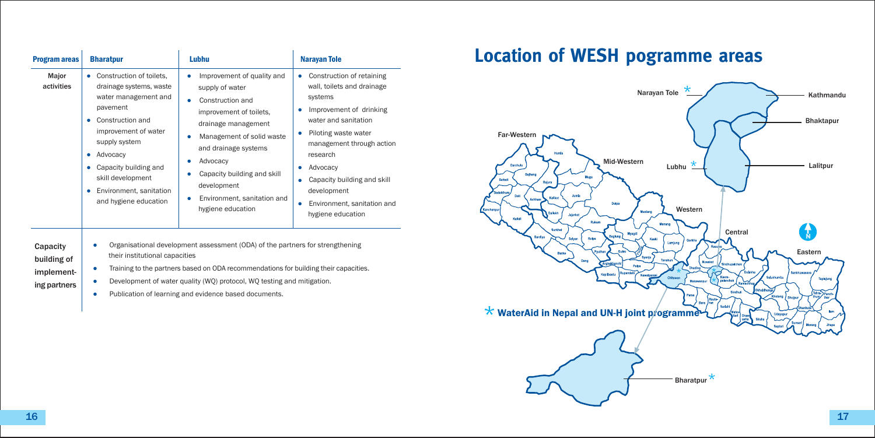| <b>Program areas</b>    | <b>Bharatpur</b>                                                                                                                                                                                                                                                                            | Lubhu                                                                                                                                                                                                                                                                                       | <b>Narayan Tole</b>                                                                                                                                                                                                                                                                                       |
|-------------------------|---------------------------------------------------------------------------------------------------------------------------------------------------------------------------------------------------------------------------------------------------------------------------------------------|---------------------------------------------------------------------------------------------------------------------------------------------------------------------------------------------------------------------------------------------------------------------------------------------|-----------------------------------------------------------------------------------------------------------------------------------------------------------------------------------------------------------------------------------------------------------------------------------------------------------|
| Major<br>activities     | Construction of toilets,<br>٠<br>drainage systems, waste<br>water management and<br>pavement<br>Construction and<br>۰<br>improvement of water<br>supply system<br>Advocacy<br>۰<br>Capacity building and<br>٠<br>skill development<br>Environment, sanitation<br>٠<br>and hygiene education | Improvement of quality and<br>supply of water<br>Construction and<br>improvement of toilets,<br>drainage management<br>Management of solid waste<br>٠<br>and drainage systems<br>Advocacy<br>Capacity building and skill<br>development<br>Environment, sanitation and<br>hygiene education | Construction of retaining<br>۰<br>wall, toilets and drainage<br>systems<br>Improvement of drinking<br>water and sanitation<br>Piloting waste water<br>management through action<br>research<br>Advocacy<br>Capacity building and skill<br>development<br>Environment, sanitation and<br>hygiene education |
| Capacity<br>building of | ٠<br>their institutional capacities                                                                                                                                                                                                                                                         | Organisational development assessment (ODA) of the partners for strengthening                                                                                                                                                                                                               |                                                                                                                                                                                                                                                                                                           |

#### • Training to the partners based on ODA recommendations for building their capacities. implement-

- Development of water quality (WQ) protocol, WQ testing and mitigation.  $\bullet$
- Publication of learning and evidence based documents.  $\bullet$

## **Location of WESH pogramme areas**



ing partners